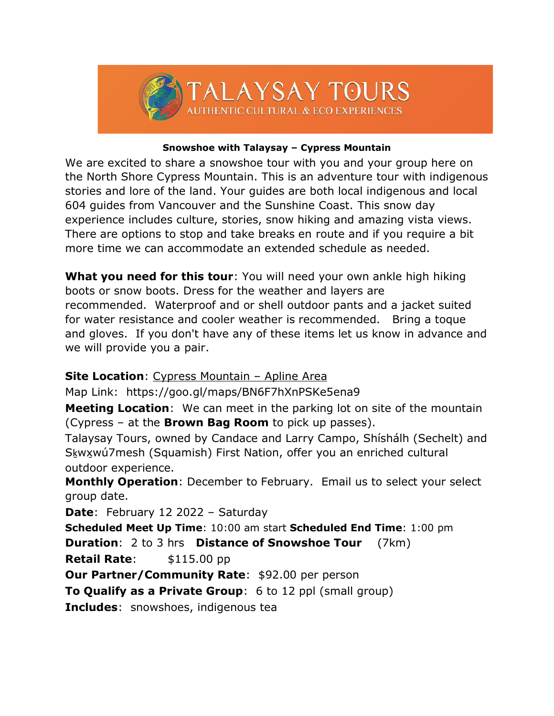

## **Snowshoe with Talaysay – Cypress Mountain**

We are excited to share a snowshoe tour with you and your group here on the North Shore Cypress Mountain. This is an adventure tour with indigenous stories and lore of the land. Your guides are both local indigenous and local 604 guides from Vancouver and the Sunshine Coast. This snow day experience includes culture, stories, snow hiking and amazing vista views. There are options to stop and take breaks en route and if you require a bit more time we can accommodate an extended schedule as needed.

**What you need for this tour**: You will need your own ankle high hiking boots or snow boots. Dress for the weather and layers are recommended. Waterproof and or shell outdoor pants and a jacket suited for water resistance and cooler weather is recommended. Bring a toque and gloves. If you don't have any of these items let us know in advance and we will provide you a pair.

## **Site Location**: Cypress Mountain – Apline Area

Map Link: https://goo.gl/maps/BN6F7hXnPSKe5ena9

**Meeting Location**: We can meet in the parking lot on site of the mountain (Cypress – at the **Brown Bag Room** to pick up passes).

Talaysay Tours, owned by Candace and Larry Campo, Shíshálh (Sechelt) and Sḵwx̱wú7mesh (Squamish) First Nation, offer you an enriched cultural outdoor experience.

**Monthly Operation**: December to February. Email us to select your select group date.

**Date**: February 12 2022 – Saturday

**Scheduled Meet Up Time**: 10:00 am start **Scheduled End Time**: 1:00 pm **Duration**: 2 to 3 hrs **Distance of Snowshoe Tour** (7km)

**Retail Rate:** \$115.00 pp

**Our Partner/Community Rate: \$92.00 per person** 

**To Qualify as a Private Group**: 6 to 12 ppl (small group)

**Includes**: snowshoes, indigenous tea